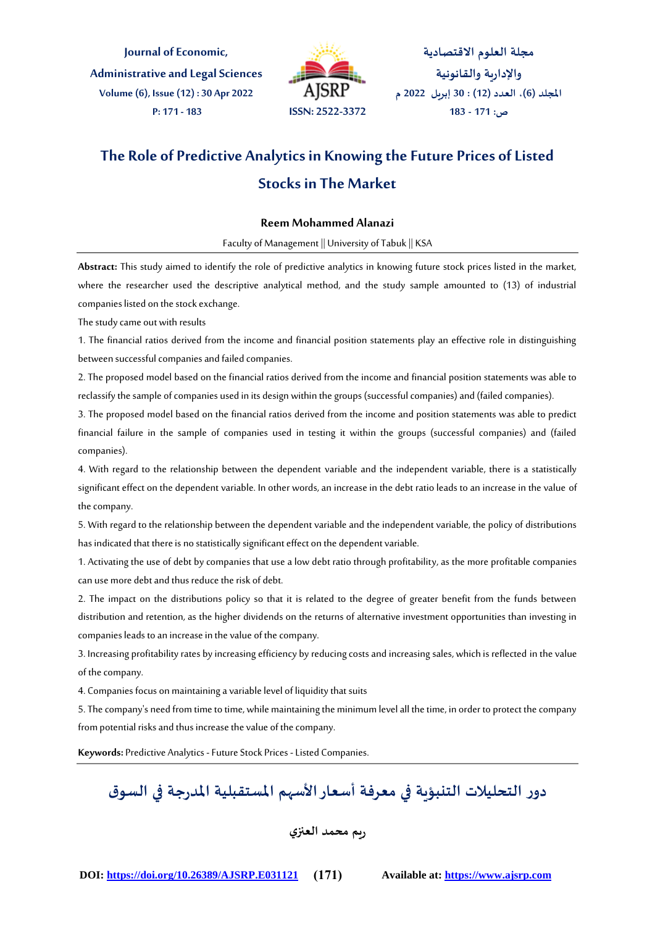**Journal of Economic, Administrativeand Legal Sciences Volume (6), Issue (12) : 30 Apr 2022 P: 171 - 183 ISSN: 2522-3372**



**مجلة العلوم االقتصادية واإلدارية والقانونية املجلد )6(، العدد )12( : 30 إبريل 2022 م ص: 171 - 183**

# **The Role of Predictive Analytics in Knowing the Future Prices of Listed Stocks in The Market**

#### **Reem Mohammed Alanazi**

Faculty of Management || University of Tabuk || KSA

**Abstract:** This study aimed to identify the role of predictive analytics in knowing future stock prices listed in the market, where the researcher used the descriptive analytical method, and the study sample amounted to (13) of industrial companies listed on the stock exchange.

The study came out with results

1. The financial ratios derived from the income and financial position statements play an effective role in distinguishing between successful companies and failed companies.

2. The proposed model based on the financial ratios derived from the income and financial position statements was able to reclassify the sample of companies used in its design within the groups (successful companies) and (failed companies).

3. The proposed model based on the financial ratios derived from the income and position statements was able to predict financial failure in the sample of companies used in testing it within the groups (successful companies) and (failed companies).

4. With regard to the relationship between the dependent variable and the independent variable, there is a statistically significant effect on the dependent variable. In other words, an increase in the debt ratio leads to an increase in the value of the company.

5. With regard to the relationship between the dependent variable and the independent variable, the policy of distributions has indicated that there is no statistically significant effect on the dependent variable.

1. Activating the use of debt by companies that use a low debt ratio through profitability, as the more profitable companies can use more debt and thus reduce the risk of debt.

2. The impact on the distributions policy so that it is related to the degree of greater benefit from the funds between distribution and retention, as the higher dividends on the returns of alternative investment opportunities than investing in companies leads to an increase in the value of the company.

3. Increasing profitability rates by increasing efficiency by reducing costs and increasing sales, which is reflected in the value of the company.

4. Companies focus on maintaining a variable level of liquidity that suits

5. The company's need from time to time, while maintaining the minimum level all the time, in order to protect the company from potential risks and thus increase the value of the company.

**Keywords:** Predictive Analytics -Future Stock Prices -Listed Companies.

**دور التحليالت التنبؤية في معرفة أسعاراألسهم املستقبلية املدرجة في السوق**

# **ريم محمد العنزي**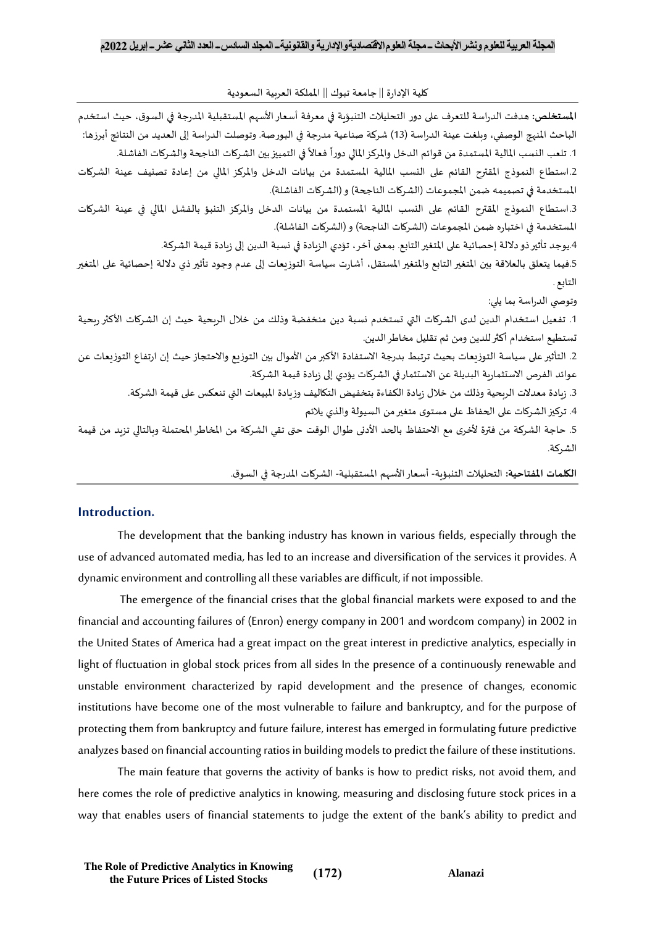كلية الإدارة || جامعة تبوك || المملكة العربية السعودية

| المستخلص: هدفت الدراسة للتعرف على دور التحليلات التنبؤية في معرفة أسعار الأسهم المستقبلية المدرجة في السوق، حيث استخدم           |
|----------------------------------------------------------------------------------------------------------------------------------|
| الباحث المنهج الوصفي، وبلغت عينة الدراسة (13) شركة صناعية مدرجة في البورصة. وتوصلت الدراسة إلى العديد من النتائج أبرزها:         |
| 1. تلعب النسب المالية المستمدة من قوائم الدخل والمركز المالي دوراً فعالاً في التمييز بين الشركات الناجحة والشركات الفاشلة.       |
| 2.استطاع النموذج المقترح القائم على النسب المالية المستمدة من بيانات الدخل والمركز المالي من إعادة تصنيف عينة الشركات            |
| المستخدمة في تصميمه ضمن المجموعات (الشركات الناجحة) و (الشركات الفاشلة).                                                         |
| 3.استطاع النموذج المقترح القائم على النسب المالية المستمدة من بيانات الدخل والمركز التنبؤ بالفشل المالي في عينة الشركات          |
| المستخدمة في اختباره ضمن المجموعات (الشركات الناجحة) و (الشركات الفاشلة).                                                        |
| 4.يوجد تأثير ذو دلالة إحصائية على المتغير التابع. بمعنى آخر ، تؤدي الزبادة في نسبة الدين إلى زبادة قيمة الشركة.                  |
| 5.فيما يتعلق بالعلاقة بين المتغير التابع والمتغير المستقل، أشارت سياسة التوزيعات إلى عدم وجود تأثير ذي دلالة إحصائية على المتغير |
| التابع .                                                                                                                         |
| وتوصي الدراسة بما يلي:                                                                                                           |
| 1. تفعيل استخدام الدين لدى الشركات التي تستخدم نسبة دين منخفضة وذلك من خلال الربحية حيث إن الشركات الأكثر ربحية                  |
| نستطيع استخدام أكثر للدين ومن ثم تقليل مخاطر الدين.                                                                              |
| 2. التأثير على سياسة التوزيعات بحيث ترتبط بدرجة الاستفادة الأكبر من الأموال بين التوزيع والاحتجاز حيث إن ارتفاع التوزيعات عن     |
| عوائد الفرص الاستثمارية البديلة عن الاستثمار في الشركات يؤدي إلى زيادة قيمة الشركة.                                              |
| 3. زيادة معدلات الربحية وذلك من خلال زيادة الكفاءة بتخفيض التكاليف وزيادة المبيعات التي تنعكس على قيمة الشركة.                   |
| 4. تركيز الشركات على الحفاظ على مستوى متغير من السيولة والذي يلائم                                                               |
| 5. حاجة الشركة من فترة لأخرى مع الاحتفاظ بالحد الأدنى طوال الوقت حتى تقي الشركة من المخاطر المحتملة وبالتالي تزبد من قيمة        |
| الشركة.                                                                                                                          |
|                                                                                                                                  |

**الكلمات املفتاحية:** التحليالت التنبؤية- أسعار األسهم املستقبلية- الشركات املدرجة في السوق.

## **Introduction.**

The development that the banking industry has known in various fields, especially through the use of advanced automated media, has led to an increase and diversification of the services it provides. A dynamic environment and controlling all these variables are difficult, if not impossible.

The emergence of the financial crises that the global financial markets were exposed to and the financial and accounting failures of (Enron) energy company in 2001 and wordcom company) in 2002 in the United States of America had a great impact on the great interest in predictive analytics, especially in light of fluctuation in global stock prices from all sides In the presence of a continuously renewable and unstable environment characterized by rapid development and the presence of changes, economic institutions have become one of the most vulnerable to failure and bankruptcy, and for the purpose of protecting them from bankruptcy and future failure, interest has emerged in formulating future predictive analyzes based on financial accounting ratios in building models to predict the failure of these institutions.

The main feature that governs the activity of banks is how to predict risks, not avoid them, and here comes the role of predictive analytics in knowing, measuring and disclosing future stock prices in a way that enables users of financial statements to judge the extent of the bank's ability to predict and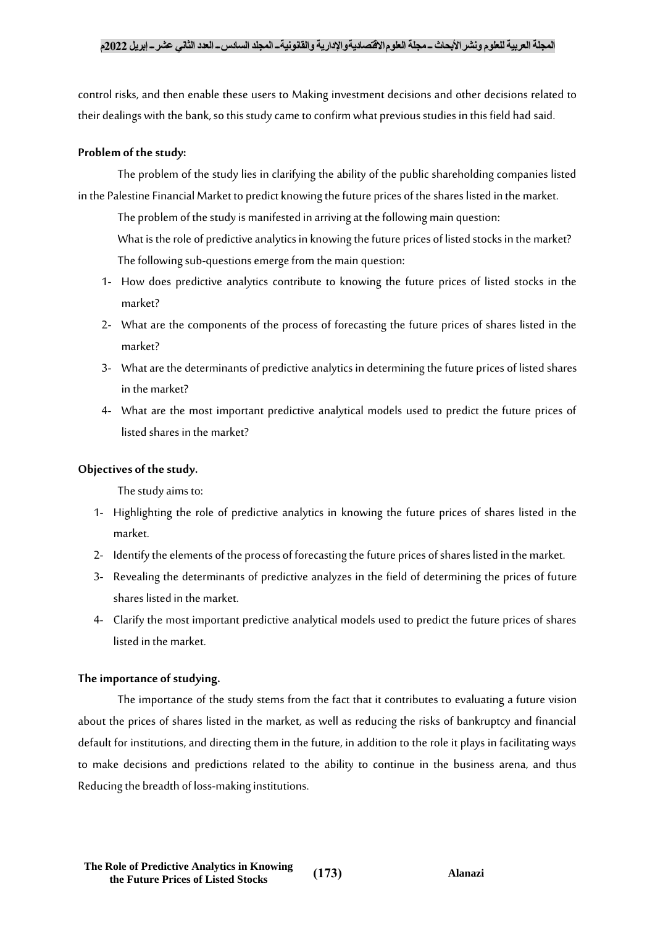# **المجلة العربية للعلوم ونشراألبحاث ــ مجلة العلوماالقتصاديةواإلدارية والقانونيةــ المجلد السادســ العدد الثاني عشرــ إبريل 2022م**

control risks, and then enable these users to Making investment decisions and other decisions related to their dealings with the bank, so this study came to confirm what previous studies in this field had said.

# **Problem of the study:**

The problem of the study lies in clarifying the ability of the public shareholding companies listed in the Palestine Financial Market to predict knowing the future prices of the shares listed in the market.

The problem of the study is manifested in arriving at the following main question: What is the role of predictive analytics in knowing the future prices of listed stocks in the market? The following sub-questions emerge from the main question:

- 1- How does predictive analytics contribute to knowing the future prices of listed stocks in the market?
- 2- What are the components of the process of forecasting the future prices of shares listed in the market?
- 3- What are the determinants of predictive analytics in determining the future prices of listed shares in the market?
- 4- What are the most important predictive analytical models used to predict the future prices of listed shares in the market?

# **Objectives of the study.**

The study aims to:

- 1- Highlighting the role of predictive analytics in knowing the future prices of shares listed in the market.
- 2- Identify the elements of the process of forecasting the future prices of shares listed in the market.
- 3- Revealing the determinants of predictive analyzes in the field of determining the prices of future shares listed in the market.
- 4- Clarify the most important predictive analytical models used to predict the future prices of shares listed in the market.

## **The importance of studying.**

The importance of the study stems from the fact that it contributes to evaluating a future vision about the prices of shares listed in the market, as well as reducing the risks of bankruptcy and financial default for institutions, and directing them in the future, in addition to the role it plays in facilitating ways to make decisions and predictions related to the ability to continue in the business arena, and thus Reducing the breadth of loss-making institutions.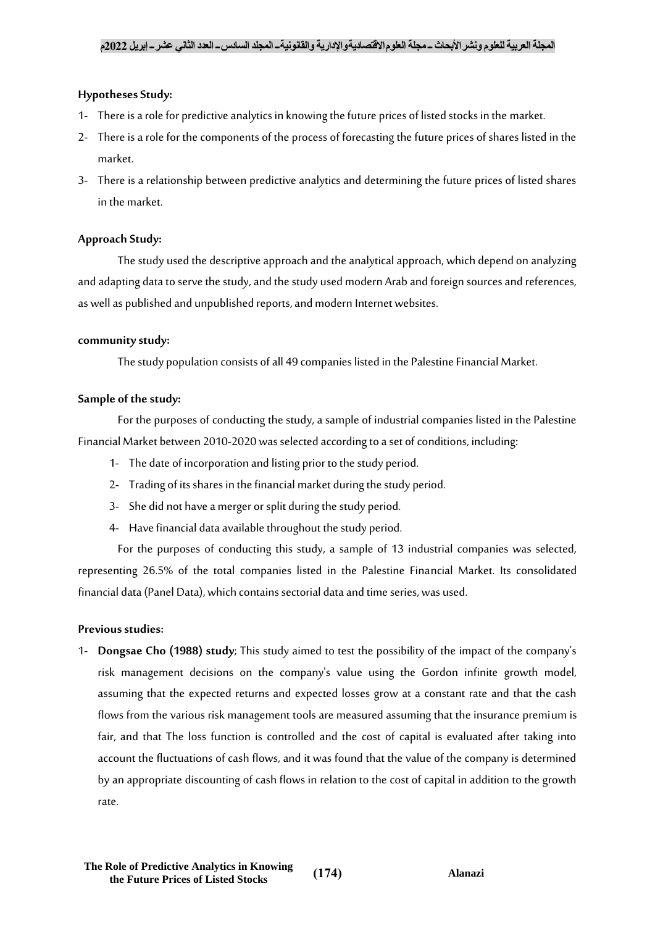# **Hypotheses Study:**

- 1- There is a role for predictive analytics in knowing the future prices of listed stocks in the market.
- 2- There is a role for the components of the process of forecasting the future prices of shares listed in the market.
- 3- There is a relationship between predictive analytics and determining the future prices of listed shares in the market.

# **Approach Study:**

The study used the descriptive approach and the analytical approach, which depend on analyzing and adapting data to serve the study, and the study used modern Arab and foreign sources and references, as well as published and unpublished reports, and modern Internet websites.

## **community study:**

The study population consists of all 49 companies listed in the Palestine Financial Market.

# **Sample of the study:**

For the purposes of conducting the study, a sample of industrial companies listed in the Palestine Financial Market between 2010-2020 was selected according to a set of conditions, including:

- 1- The date of incorporation and listing prior to the study period.
- 2- Trading of its shares in the financial market during the study period.
- 3- She did not have a merger or split during the study period.
- 4- Have financial data available throughout the study period.

For the purposes of conducting this study, a sample of 13 industrial companies was selected, representing 26.5% of the total companies listed in the Palestine Financial Market. Its consolidated financial data (Panel Data), which contains sectorial data and time series, was used.

## **Previous studies:**

1- **Dongsae Cho (1988) study**; This study aimed to test the possibility of the impact of the company's risk management decisions on the company's value using the Gordon infinite growth model, assuming that the expected returns and expected losses grow at a constant rate and that the cash flows from the various risk management tools are measured assuming that the insurance premium is fair, and that The loss function is controlled and the cost of capital is evaluated after taking into account the fluctuations of cash flows, and it was found that the value of the company is determined by an appropriate discounting of cash flows in relation to the cost of capital in addition to the growth rate.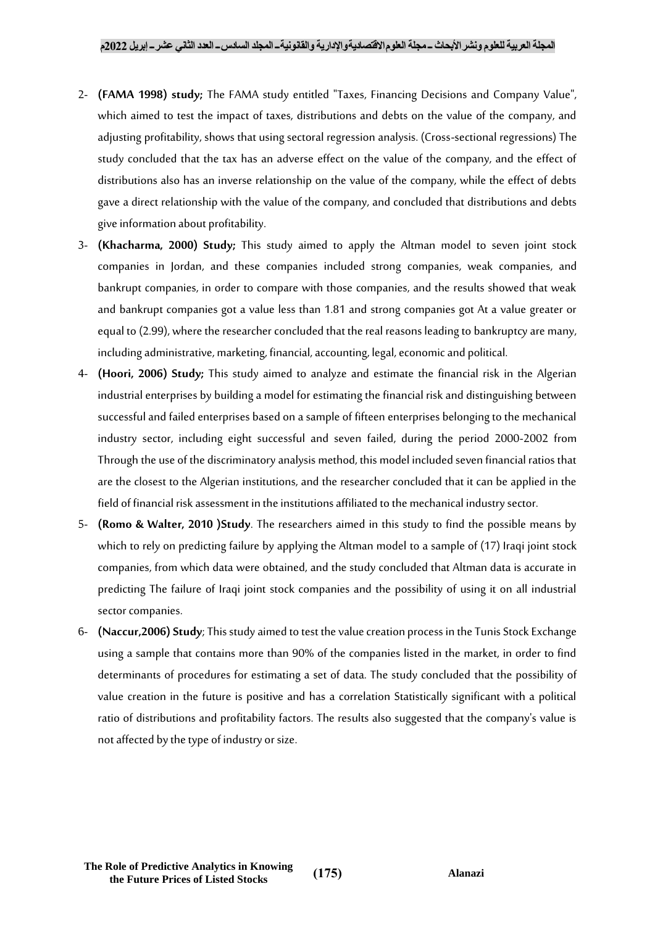- 2- **(FAMA 1998) study;** The FAMA study entitled "Taxes, Financing Decisions and Company Value", which aimed to test the impact of taxes, distributions and debts on the value of the company, and adjusting profitability, shows that using sectoral regression analysis. (Cross-sectional regressions) The study concluded that the tax has an adverse effect on the value of the company, and the effect of distributions also has an inverse relationship on the value of the company, while the effect of debts gave a direct relationship with the value of the company, and concluded that distributions and debts give information about profitability.
- 3- **(Khacharma, 2000) Study;** This study aimed to apply the Altman model to seven joint stock companies in Jordan, and these companies included strong companies, weak companies, and bankrupt companies, in order to compare with those companies, and the results showed that weak and bankrupt companies got a value less than 1.81 and strong companies got At a value greater or equal to (2.99), where the researcher concluded that the real reasons leading to bankruptcy are many, including administrative, marketing, financial, accounting, legal, economic and political.
- 4- **(Hoori, 2006) Study;** This study aimed to analyze and estimate the financial risk in the Algerian industrial enterprises by building a model for estimating the financial risk and distinguishing between successful and failed enterprises based on a sample of fifteen enterprises belonging to the mechanical industry sector, including eight successful and seven failed, during the period 2000-2002 from Through the use of the discriminatory analysis method, this model included seven financial ratios that are the closest to the Algerian institutions, and the researcher concluded that it can be applied in the field of financial risk assessment in the institutions affiliated to the mechanical industry sector.
- 5- **(Romo & Walter, 2010 )Study**. The researchers aimed in this study to find the possible means by which to rely on predicting failure by applying the Altman model to a sample of (17) Iraqi joint stock companies, from which data were obtained, and the study concluded that Altman data is accurate in predicting The failure of Iraqi joint stock companies and the possibility of using it on all industrial sector companies.
- 6- **(Naccur,2006) Study**; This study aimed to test the value creation process in the Tunis Stock Exchange using a sample that contains more than 90% of the companies listed in the market, in order to find determinants of procedures for estimating a set of data. The study concluded that the possibility of value creation in the future is positive and has a correlation Statistically significant with a political ratio of distributions and profitability factors. The results also suggested that the company's value is not affected by the type of industry or size.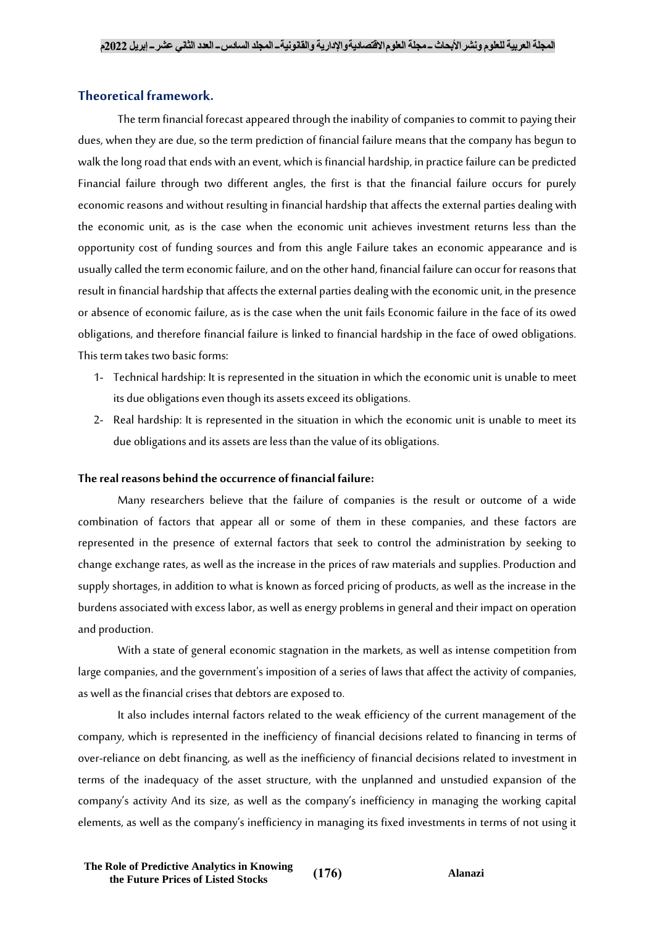# **Theoretical framework.**

The term financial forecast appeared through the inability of companies to commit to paying their dues, when they are due, so the term prediction of financial failure means that the company has begun to walk the long road that ends with an event, which is financial hardship, in practice failure can be predicted Financial failure through two different angles, the first is that the financial failure occurs for purely economic reasons and without resulting in financial hardship that affects the external parties dealing with the economic unit, as is the case when the economic unit achieves investment returns less than the opportunity cost of funding sources and from this angle Failure takes an economic appearance and is usually called the term economic failure, and on the other hand, financial failure can occur for reasons that result in financial hardship that affects the external parties dealing with the economic unit, in the presence or absence of economic failure, as is the case when the unit fails Economic failure in the face of its owed obligations, and therefore financial failure is linked to financial hardship in the face of owed obligations. This term takes two basic forms:

- 1- Technical hardship: It is represented in the situation in which the economic unit is unable to meet its due obligations even though its assets exceed its obligations.
- 2- Real hardship: It is represented in the situation in which the economic unit is unable to meet its due obligations and its assets are less than the value of its obligations.

## **The real reasons behind the occurrence of financial failure:**

Many researchers believe that the failure of companies is the result or outcome of a wide combination of factors that appear all or some of them in these companies, and these factors are represented in the presence of external factors that seek to control the administration by seeking to change exchange rates, as well as the increase in the prices of raw materials and supplies. Production and supply shortages, in addition to what is known as forced pricing of products, as well as the increase in the burdens associated with excess labor, as well as energy problems in general and their impact on operation and production.

With a state of general economic stagnation in the markets, as well as intense competition from large companies, and the government's imposition of a series of laws that affect the activity of companies, as well as the financial crises that debtors are exposed to.

It also includes internal factors related to the weak efficiency of the current management of the company, which is represented in the inefficiency of financial decisions related to financing in terms of over-reliance on debt financing, as well as the inefficiency of financial decisions related to investment in terms of the inadequacy of the asset structure, with the unplanned and unstudied expansion of the company's activity And its size, as well as the company's inefficiency in managing the working capital elements, as well as the company's inefficiency in managing its fixed investments in terms of not using it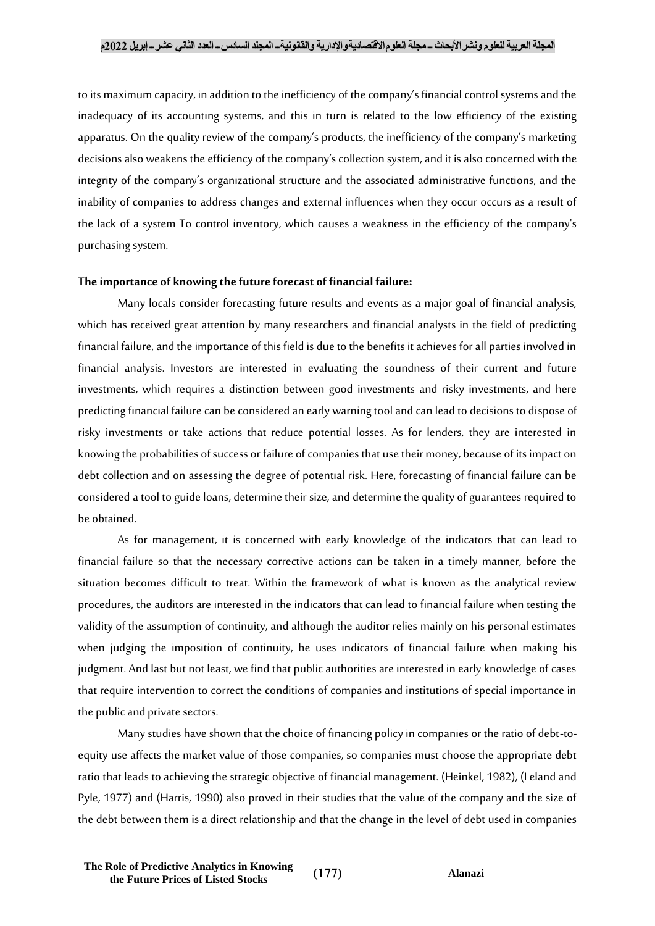## **المجلة العربية للعلوم ونشراألبحاث ــ مجلة العلوماالقتصاديةواإلدارية والقانونيةــ المجلد السادســ العدد الثاني عشرــ إبريل 2022م**

to its maximum capacity, in addition to the inefficiency of the company's financial control systems and the inadequacy of its accounting systems, and this in turn is related to the low efficiency of the existing apparatus. On the quality review of the company's products, the inefficiency of the company's marketing decisions also weakens the efficiency of the company's collection system, and it is also concerned with the integrity of the company's organizational structure and the associated administrative functions, and the inability of companies to address changes and external influences when they occur occurs as a result of the lack of a system To control inventory, which causes a weakness in the efficiency of the company's purchasing system.

## **The importance of knowing the future forecast of financial failure:**

Many locals consider forecasting future results and events as a major goal of financial analysis, which has received great attention by many researchers and financial analysts in the field of predicting financial failure, and the importance of this field is due to the benefits it achieves for all parties involved in financial analysis. Investors are interested in evaluating the soundness of their current and future investments, which requires a distinction between good investments and risky investments, and here predicting financial failure can be considered an early warning tool and can lead to decisions to dispose of risky investments or take actions that reduce potential losses. As for lenders, they are interested in knowing the probabilities of success or failure of companies that use their money, because of its impact on debt collection and on assessing the degree of potential risk. Here, forecasting of financial failure can be considered a tool to guide loans, determine their size, and determine the quality of guarantees required to be obtained.

As for management, it is concerned with early knowledge of the indicators that can lead to financial failure so that the necessary corrective actions can be taken in a timely manner, before the situation becomes difficult to treat. Within the framework of what is known as the analytical review procedures, the auditors are interested in the indicators that can lead to financial failure when testing the validity of the assumption of continuity, and although the auditor relies mainly on his personal estimates when judging the imposition of continuity, he uses indicators of financial failure when making his judgment. And last but not least, we find that public authorities are interested in early knowledge of cases that require intervention to correct the conditions of companies and institutions of special importance in the public and private sectors.

Many studies have shown that the choice of financing policy in companies or the ratio of debt-toequity use affects the market value of those companies, so companies must choose the appropriate debt ratio that leads to achieving the strategic objective of financial management. (Heinkel, 1982), (Leland and Pyle, 1977) and (Harris, 1990) also proved in their studies that the value of the company and the size of the debt between them is a direct relationship and that the change in the level of debt used in companies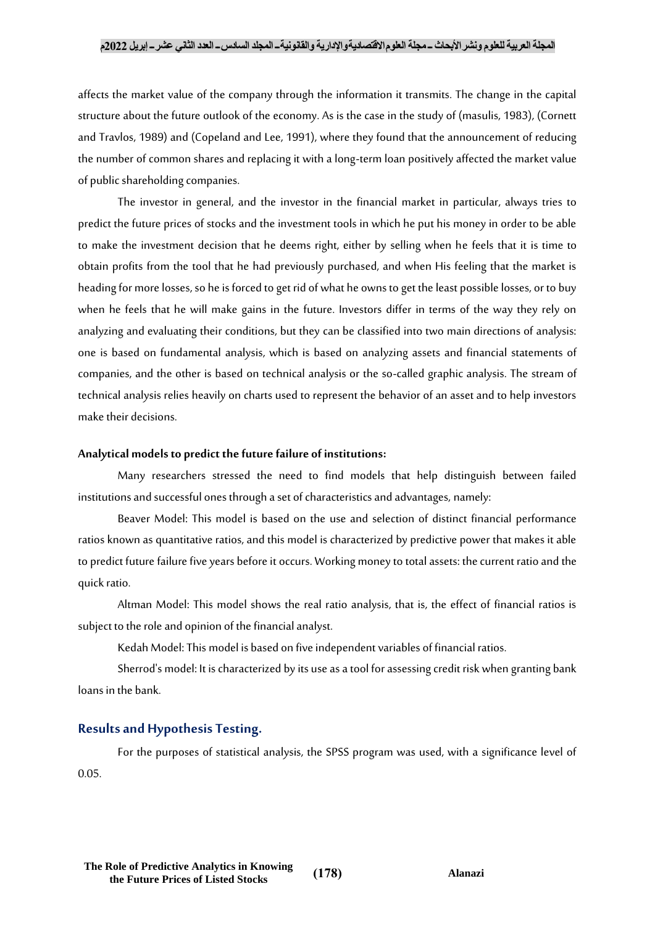## **المجلة العربية للعلوم ونشراألبحاث ــ مجلة العلوماالقتصاديةواإلدارية والقانونيةــ المجلد السادســ العدد الثاني عشرــ إبريل 2022م**

affects the market value of the company through the information it transmits. The change in the capital structure about the future outlook of the economy. As is the case in the study of (masulis, 1983), (Cornett and Travlos, 1989) and (Copeland and Lee, 1991), where they found that the announcement of reducing the number of common shares and replacing it with a long-term loan positively affected the market value of public shareholding companies.

The investor in general, and the investor in the financial market in particular, always tries to predict the future prices of stocks and the investment tools in which he put his money in order to be able to make the investment decision that he deems right, either by selling when he feels that it is time to obtain profits from the tool that he had previously purchased, and when His feeling that the market is heading for more losses, so he is forced to get rid of what he owns to get the least possible losses, or to buy when he feels that he will make gains in the future. Investors differ in terms of the way they rely on analyzing and evaluating their conditions, but they can be classified into two main directions of analysis: one is based on fundamental analysis, which is based on analyzing assets and financial statements of companies, and the other is based on technical analysis or the so-called graphic analysis. The stream of technical analysis relies heavily on charts used to represent the behavior of an asset and to help investors make their decisions.

#### **Analytical models to predict the future failure of institutions:**

Many researchers stressed the need to find models that help distinguish between failed institutions and successful ones through a set of characteristics and advantages, namely:

Beaver Model: This model is based on the use and selection of distinct financial performance ratios known as quantitative ratios, and this model is characterized by predictive power that makes it able to predict future failure five years before it occurs. Working money to total assets: the current ratio and the quick ratio.

Altman Model: This model shows the real ratio analysis, that is, the effect of financial ratios is subject to the role and opinion of the financial analyst.

Kedah Model: This model is based on five independent variables of financial ratios.

Sherrod's model: It is characterized by its use as a tool for assessing credit risk when granting bank loans in the bank.

# **Results and Hypothesis Testing.**

For the purposes of statistical analysis, the SPSS program was used, with a significance level of 0.05.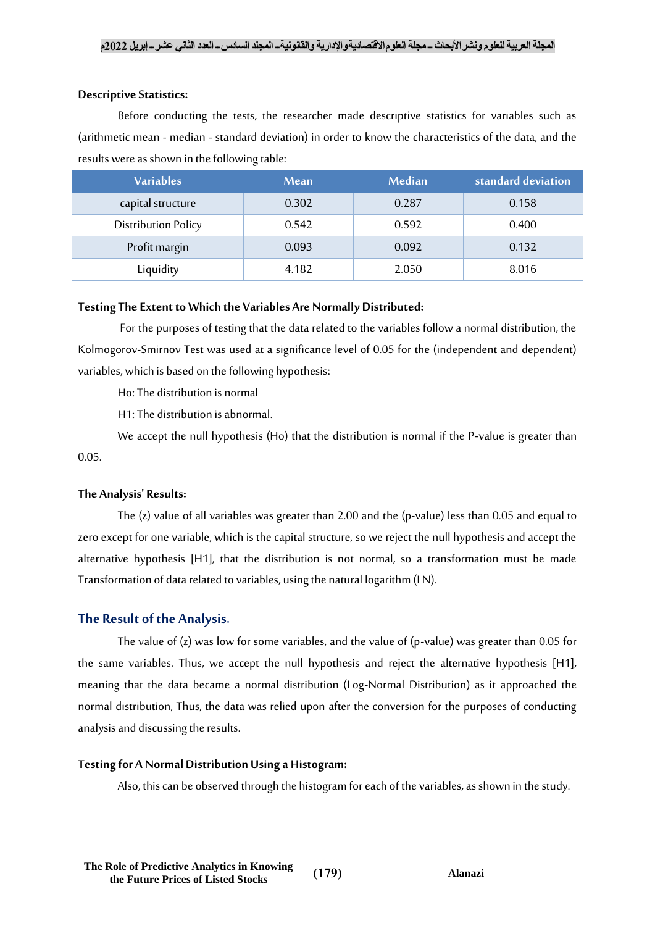## **Descriptive Statistics:**

Before conducting the tests, the researcher made descriptive statistics for variables such as (arithmetic mean - median - standard deviation) in order to know the characteristics of the data, and the results were as shown in the following table:

| <b>Variables</b>           | <b>Mean</b> | Median | standard deviation |
|----------------------------|-------------|--------|--------------------|
| capital structure          | 0.302       | 0.287  | 0.158              |
| <b>Distribution Policy</b> | 0.542       | 0.592  | 0.400              |
| Profit margin              | 0.093       | 0.092  | 0.132              |
| Liquidity                  | 4.182       | 2.050  | 8.016              |

## **Testing The Extent to Which the Variables Are Normally Distributed:**

For the purposes of testing that the data related to the variables follow a normal distribution, the Kolmogorov-Smirnov Test was used at a significance level of 0.05 for the (independent and dependent) variables, which is based on the following hypothesis:

Ho: The distribution is normal

H1: The distribution is abnormal.

We accept the null hypothesis (Ho) that the distribution is normal if the P-value is greater than 0.05.

#### **The Analysis' Results:**

The (z) value of all variables was greater than 2.00 and the (p-value) less than 0.05 and equal to zero except for one variable, which is the capital structure, so we reject the null hypothesis and accept the alternative hypothesis [H1], that the distribution is not normal, so a transformation must be made Transformation of data related to variables, using the natural logarithm (LN).

## **The Result of the Analysis.**

The value of (z) was low for some variables, and the value of (p-value) was greater than 0.05 for the same variables. Thus, we accept the null hypothesis and reject the alternative hypothesis [H1], meaning that the data became a normal distribution (Log-Normal Distribution) as it approached the normal distribution, Thus, the data was relied upon after the conversion for the purposes of conducting analysis and discussing the results.

#### **Testing for A Normal Distribution Using a Histogram:**

Also, this can be observed through the histogram for each of the variables, as shown in the study.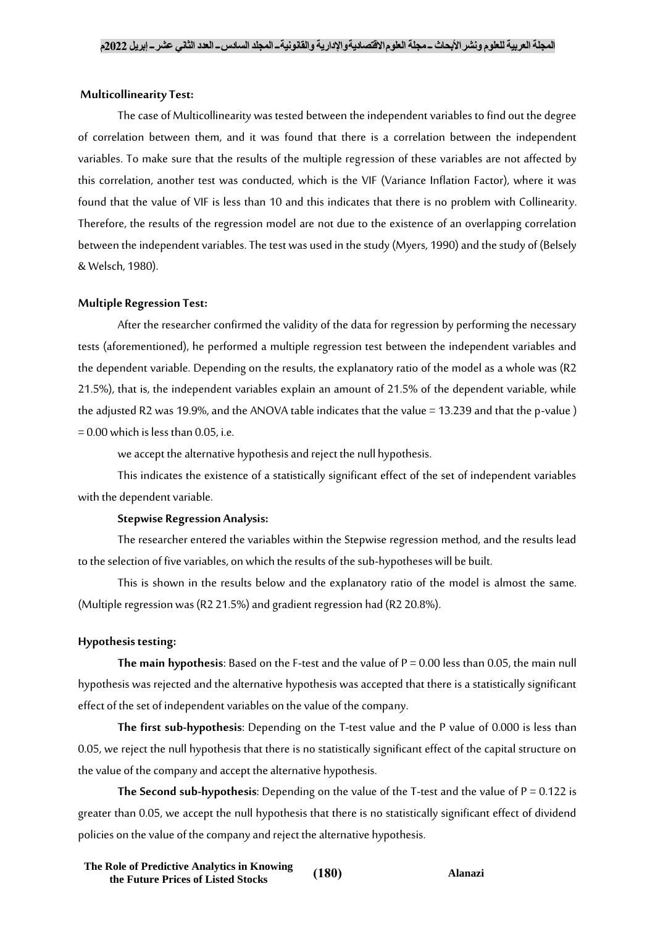### **Multicollinearity Test:**

The case of Multicollinearity was tested between the independent variables to find out the degree of correlation between them, and it was found that there is a correlation between the independent variables. To make sure that the results of the multiple regression of these variables are not affected by this correlation, another test was conducted, which is the VIF (Variance Inflation Factor), where it was found that the value of VIF is less than 10 and this indicates that there is no problem with Collinearity. Therefore, the results of the regression model are not due to the existence of an overlapping correlation between the independent variables. The test was used in the study (Myers, 1990) and the study of (Belsely & Welsch, 1980).

## **Multiple Regression Test:**

After the researcher confirmed the validity of the data for regression by performing the necessary tests (aforementioned), he performed a multiple regression test between the independent variables and the dependent variable. Depending on the results, the explanatory ratio of the model as a whole was (R2 21.5%), that is, the independent variables explain an amount of 21.5% of the dependent variable, while the adjusted R2 was 19.9%, and the ANOVA table indicates that the value = 13.239 and that the p-value)  $= 0.00$  which is less than 0.05, i.e.

we accept the alternative hypothesis and reject the null hypothesis.

This indicates the existence of a statistically significant effect of the set of independent variables with the dependent variable.

#### **Stepwise Regression Analysis:**

The researcher entered the variables within the Stepwise regression method, and the results lead to the selection of five variables, on which the results of the sub-hypotheses will be built.

This is shown in the results below and the explanatory ratio of the model is almost the same. (Multiple regression was (R2 21.5%) and gradient regression had (R2 20.8%).

## **Hypothesis testing:**

**The main hypothesis**: Based on the F-test and the value of P = 0.00 less than 0.05, the main null hypothesis was rejected and the alternative hypothesis was accepted that there is a statistically significant effect of the set of independent variables on the value of the company.

**The first sub-hypothesis**: Depending on the T-test value and the P value of 0.000 is less than 0.05, we reject the null hypothesis that there is no statistically significant effect of the capital structure on the value of the company and accept the alternative hypothesis.

The Second sub-hypothesis: Depending on the value of the T-test and the value of P = 0.122 is greater than 0.05, we accept the null hypothesis that there is no statistically significant effect of dividend policies on the value of the company and reject the alternative hypothesis.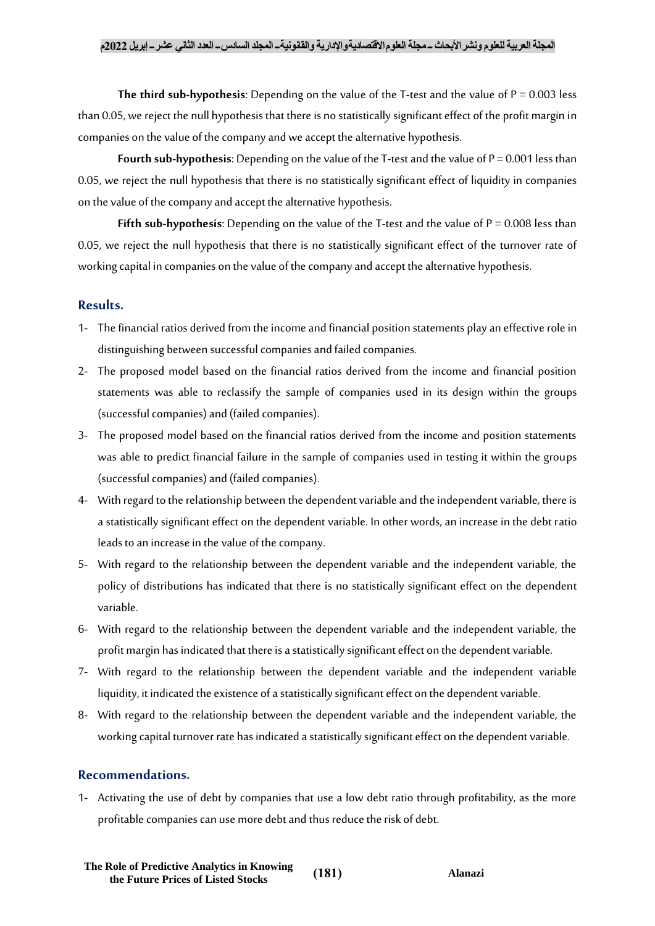**The third sub-hypothesis:** Depending on the value of the T-test and the value of  $P = 0.003$  less than 0.05, we reject the null hypothesis that there is no statistically significant effect of the profit margin in companies on the value of the company and we accept the alternative hypothesis.

**Fourth sub-hypothesis**: Depending on the value of the T-test and the value of P = 0.001 less than 0.05, we reject the null hypothesis that there is no statistically significant effect of liquidity in companies on the value of the company and accept the alternative hypothesis.

**Fifth sub-hypothesis:** Depending on the value of the T-test and the value of  $P = 0.008$  less than 0.05, we reject the null hypothesis that there is no statistically significant effect of the turnover rate of working capital in companies on the value of the company and accept the alternative hypothesis.

# **Results.**

- 1- The financial ratios derived from the income and financial position statements play an effective role in distinguishing between successful companies and failed companies.
- 2- The proposed model based on the financial ratios derived from the income and financial position statements was able to reclassify the sample of companies used in its design within the groups (successful companies) and (failed companies).
- 3- The proposed model based on the financial ratios derived from the income and position statements was able to predict financial failure in the sample of companies used in testing it within the groups (successful companies) and (failed companies).
- 4- With regard to the relationship between the dependent variable and the independent variable, there is a statistically significant effect on the dependent variable. In other words, an increase in the debt ratio leads to an increase in the value of the company.
- 5- With regard to the relationship between the dependent variable and the independent variable, the policy of distributions has indicated that there is no statistically significant effect on the dependent variable.
- 6- With regard to the relationship between the dependent variable and the independent variable, the profit margin has indicated that there is a statistically significant effect on the dependent variable.
- 7- With regard to the relationship between the dependent variable and the independent variable liquidity, it indicated the existence of a statistically significant effect on the dependent variable.
- 8- With regard to the relationship between the dependent variable and the independent variable, the working capital turnover rate has indicated a statistically significant effect on the dependent variable.

## **Recommendations.**

1- Activating the use of debt by companies that use a low debt ratio through profitability, as the more profitable companies can use more debt and thus reduce the risk of debt.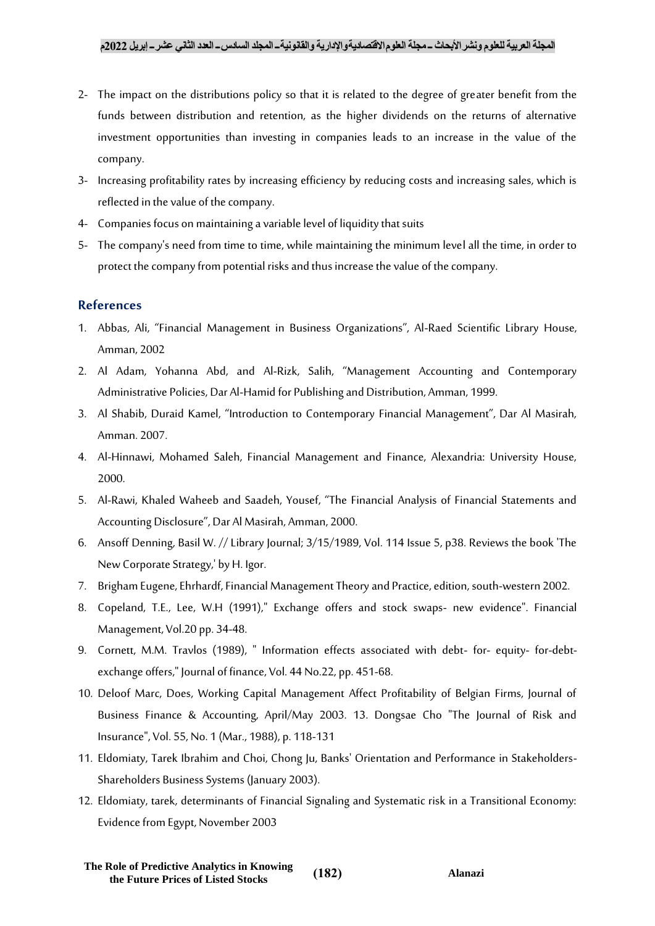- 2- The impact on the distributions policy so that it is related to the degree of greater benefit from the funds between distribution and retention, as the higher dividends on the returns of alternative investment opportunities than investing in companies leads to an increase in the value of the company.
- 3- Increasing profitability rates by increasing efficiency by reducing costs and increasing sales, which is reflected in the value of the company.
- 4- Companies focus on maintaining a variable level of liquidity that suits
- 5- The company's need from time to time, while maintaining the minimum level all the time, in order to protect the company from potential risks and thus increase the value of the company.

# **References**

- 1. Abbas, Ali, "Financial Management in Business Organizations", Al-Raed Scientific Library House, Amman, 2002
- 2. Al Adam, Yohanna Abd, and Al-Rizk, Salih, "Management Accounting and Contemporary Administrative Policies, Dar Al-Hamid for Publishing and Distribution, Amman, 1999.
- 3. Al Shabib, Duraid Kamel, "Introduction to Contemporary Financial Management", Dar Al Masirah, Amman. 2007.
- 4. Al-Hinnawi, Mohamed Saleh, Financial Management and Finance, Alexandria: University House, 2000.
- 5. Al-Rawi, Khaled Waheeb and Saadeh, Yousef, "The Financial Analysis of Financial Statements and Accounting Disclosure", Dar Al Masirah, Amman, 2000.
- 6. Ansoff Denning, Basil W. // Library Journal; 3/15/1989, Vol. 114 Issue 5, p38. Reviews the book 'The New Corporate Strategy,' by H. Igor.
- 7. Brigham Eugene, Ehrhardf, Financial Management Theory and Practice, edition, south-western 2002.
- 8. Copeland, T.E., Lee, W.H (1991)," Exchange offers and stock swaps- new evidence". Financial Management, Vol.20 pp. 34-48.
- 9. Cornett, M.M. Travlos (1989), " Information effects associated with debt- for- equity- for-debtexchange offers," Journal of finance, Vol. 44 No.22, pp. 451-68.
- 10. Deloof Marc, Does, Working Capital Management Affect Profitability of Belgian Firms, Journal of Business Finance & Accounting, April/May 2003. 13. Dongsae Cho "The Journal of Risk and Insurance", Vol. 55, No. 1 (Mar., 1988), p. 118-131
- 11. Eldomiaty, Tarek Ibrahim and Choi, Chong Ju, Banks' Orientation and Performance in Stakeholders-Shareholders Business Systems (January 2003).
- 12. Eldomiaty, tarek, determinants of Financial Signaling and Systematic risk in a Transitional Economy: Evidence from Egypt, November 2003